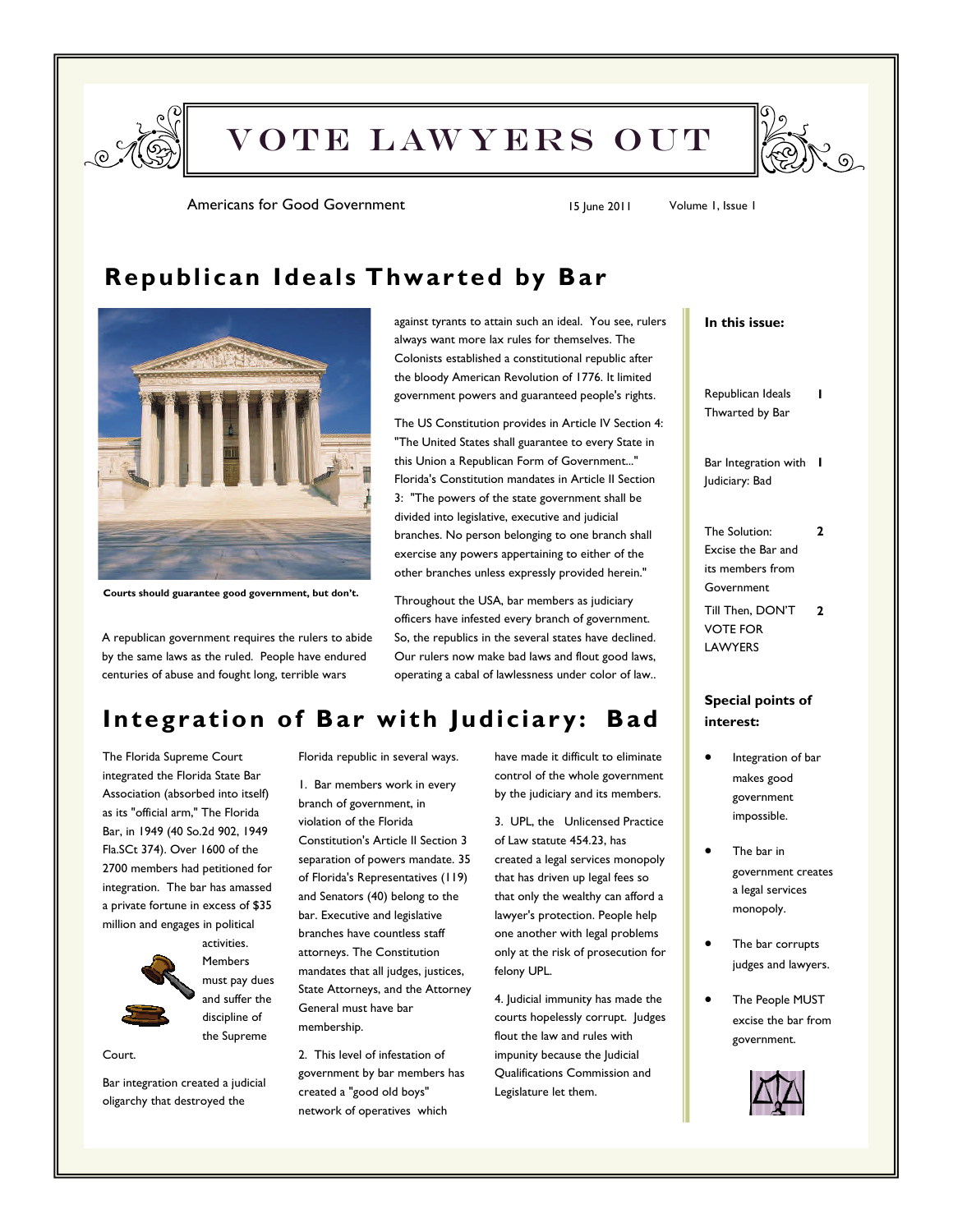

VOTE LAWYERS OUT



Americans for Good Government 15 June 2011 Volume 1, Issue 1

### **Republican Ideals Thwar ted by Bar**



**Courts should guarantee good government, but don't.** 

A republican government requires the rulers to abide by the same laws as the ruled. People have endured centuries of abuse and fought long, terrible wars

against tyrants to attain such an ideal. You see, rulers always want more lax rules for themselves. The Colonists established a constitutional republic after the bloody American Revolution of 1776. It limited government powers and guaranteed people's rights.

The US Constitution provides in Article IV Section 4: "The United States shall guarantee to every State in this Union a Republican Form of Government..." Florida's Constitution mandates in Article II Section 3: "The powers of the state government shall be divided into legislative, executive and judicial branches. No person belonging to one branch shall exercise any powers appertaining to either of the other branches unless expressly provided herein."

Throughout the USA, bar members as judiciary officers have infested every branch of government. So, the republics in the several states have declined. Our rulers now make bad laws and flout good laws, operating a cabal of lawlessness under color of law..

### **Integration of Bar with Judiciary: Bad**

The Florida Supreme Court integrated the Florida State Bar Association (absorbed into itself) as its "official arm," The Florida Bar, in 1949 (40 So.2d 902, 1949 Fla.SCt 374). Over 1600 of the 2700 members had petitioned for integration. The bar has amassed a private fortune in excess of \$35 million and engages in political



activities. **Members** must pay dues and suffer the discipline of the Supreme

Court.

Bar integration created a judicial oligarchy that destroyed the

Florida republic in several ways.

1. Bar members work in every branch of government, in violation of the Florida Constitution's Article II Section 3 separation of powers mandate. 35 of Florida's Representatives (119) and Senators (40) belong to the bar. Executive and legislative branches have countless staff attorneys. The Constitution mandates that all judges, justices, State Attorneys, and the Attorney General must have bar membership.

2. This level of infestation of government by bar members has created a "good old boys" network of operatives which

have made it difficult to eliminate control of the whole government by the judiciary and its members.

3. UPL, the Unlicensed Practice of Law statute 454.23, has created a legal services monopoly that has driven up legal fees so that only the wealthy can afford a lawyer's protection. People help one another with legal problems only at the risk of prosecution for felony UPL.

4. Judicial immunity has made the courts hopelessly corrupt. Judges flout the law and rules with impunity because the Judicial Qualifications Commission and Legislature let them.

#### **In this issue:**

Republican Ideals Thwarted by Bar

**1** 

Bar Integration with **1**  Judiciary: Bad

The Solution: Excise the Bar and its members from Government **2** 

Till Then, DON'T VOTE FOR LAWYERS **2** 

#### **Special points of interest:**

- Integration of bar makes good government impossible.
- The bar in government creates a legal services monopoly.
- The bar corrupts judges and lawyers.
- The People MUST excise the bar from government.